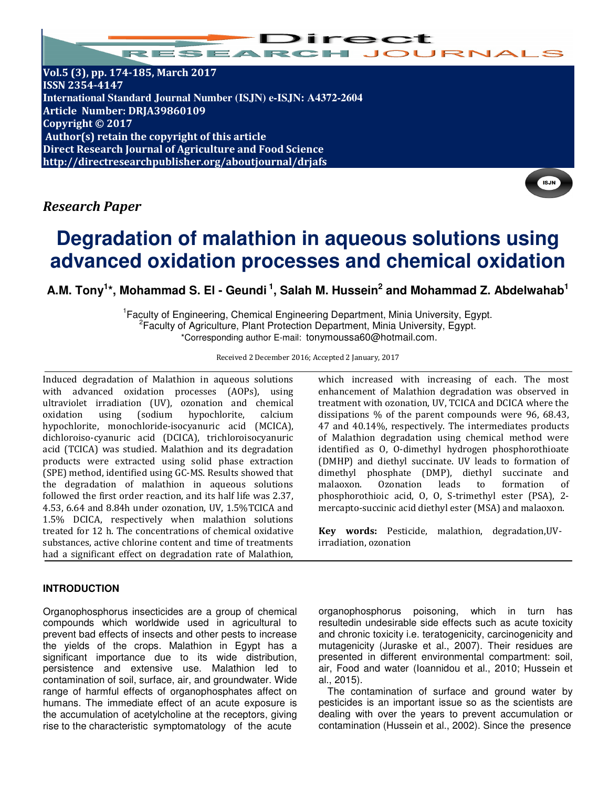

**Vol.5 (3), pp. 174-185, March 2017 ISSN 2354-4147 International Standard Journal Number (ISJN) e-ISJN: A4372-2604 Article Number: DRJA39860109 Copyright © 2017 Author(s) retain the copyright of this article Direct Research Journal of Agriculture and Food Science http://directresearchpublisher.org/aboutjournal/drjafs**

# *Research Paper*

# **Degradation of malathion in aqueous solutions using advanced oxidation processes and chemical oxidation**

**A.M. Tony<sup>1</sup> \*, Mohammad S. El - Geundi<sup>1</sup>, Salah M. Hussein<sup>2</sup> and Mohammad Z. Abdelwahab<sup>1</sup>**

<sup>1</sup> Faculty of Engineering, Chemical Engineering Department, Minia University, Egypt. <sup>2</sup> Faculty of Agriculture, Plant Protection Department, Minia University, Egypt. \*Corresponding author E-mail: tonymoussa60@hotmail.com.

Received 2 December 2016; Accepted 2 January, 2017

Induced degradation of Malathion in aqueous solutions with advanced oxidation processes (AOPs), using ultraviolet irradiation (UV), ozonation and chemical oxidation using (sodium hypochlorite, calcium hypochlorite, monochloride-isocyanuric acid (MCICA), dichloroiso-cyanuric acid (DCICA), trichloroisocyanuric acid (TCICA) was studied. Malathion and its degradation products were extracted using solid phase extraction (SPE) method, identified using GC-MS. Results showed that the degradation of malathion in aqueous solutions followed the first order reaction, and its half life was 2.37, 4.53, 6.64 and 8.84h under ozonation, UV, 1.5%TCICA and 1.5% DCICA, respectively when malathion solutions treated for 12 h. The concentrations of chemical oxidative substances, active chlorine content and time of treatments had a significant effect on degradation rate of Malathion,

## **INTRODUCTION**

Organophosphorus insecticides are a group of chemical compounds which worldwide used in agricultural to prevent bad effects of insects and other pests to increase the yields of the crops. Malathion in Egypt has a significant importance due to its wide distribution, persistence and extensive use. Malathion led to contamination of soil, surface, air, and groundwater. Wide range of harmful effects of organophosphates affect on humans. The immediate effect of an acute exposure is the accumulation of acetylcholine at the receptors, giving rise to the characteristic symptomatology of the acute

which increased with increasing of each. The most enhancement of Malathion degradation was observed in treatment with ozonation, UV, TCICA and DCICA where the dissipations % of the parent compounds were 96, 68.43, 47 and 40.14%, respectively. The intermediates products of Malathion degradation using chemical method were identified as O, O-dimethyl hydrogen phosphorothioate (DMHP) and diethyl succinate. UV leads to formation of dimethyl phosphate (DMP), diethyl succinate and malaoxon. Ozonation leads to formation of phosphorothioic acid, O, O, S-trimethyl ester (PSA), 2 mercapto-succinic acid diethyl ester (MSA) and malaoxon.

**Key words:** Pesticide, malathion, degradation,UVirradiation, ozonation

organophosphorus poisoning, which in turn has resultedin undesirable side effects such as acute toxicity and chronic toxicity i.e. teratogenicity, carcinogenicity and mutagenicity (Juraske et al., 2007). Their residues are presented in different environmental compartment: soil, air, Food and water (Ioannidou et al., 2010; Hussein et al., 2015).

The contamination of surface and ground water by pesticides is an important issue so as the scientists are dealing with over the years to prevent accumulation or contamination (Hussein et al., 2002). Since the presence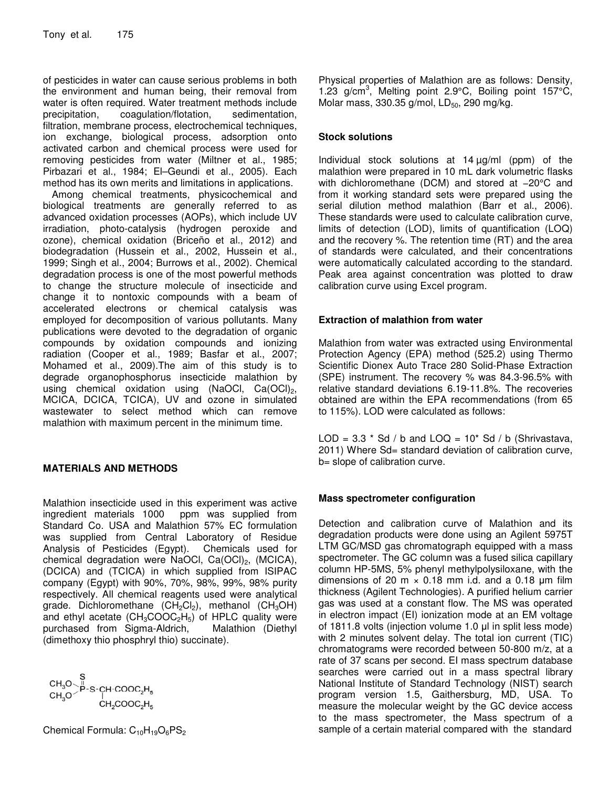of pesticides in water can cause serious problems in both the environment and human being, their removal from water is often required. Water treatment methods include precipitation, coagulation/flotation, sedimentation. precipitation, coagulation/flotation, filtration, membrane process, electrochemical techniques, ion exchange, biological process, adsorption onto activated carbon and chemical process were used for removing pesticides from water (Miltner et al., 1985; Pirbazari et al., 1984; El–Geundi et al., 2005). Each method has its own merits and limitations in applications.

Among chemical treatments, physicochemical and biological treatments are generally referred to as advanced oxidation processes (AOPs), which include UV irradiation, photo-catalysis (hydrogen peroxide and ozone), chemical oxidation (Briceño et al., 2012) and biodegradation (Hussein et al., 2002, Hussein et al., 1999; Singh et al., 2004; Burrows et al., 2002). Chemical degradation process is one of the most powerful methods to change the structure molecule of insecticide and change it to nontoxic compounds with a beam of accelerated electrons or chemical catalysis was employed for decomposition of various pollutants. Many publications were devoted to the degradation of organic compounds by oxidation compounds and ionizing radiation (Cooper et al., 1989; Basfar et al., 2007; Mohamed et al., 2009).The aim of this study is to degrade organophosphorus insecticide malathion by using chemical oxidation using (NaOCl,  $Ca(OCl)<sub>2</sub>$ , MCICA, DCICA, TCICA), UV and ozone in simulated wastewater to select method which can remove malathion with maximum percent in the minimum time.

## **MATERIALS AND METHODS**

Malathion insecticide used in this experiment was active ingredient materials 1000 ppm was supplied from Standard Co. USA and Malathion 57% EC formulation was supplied from Central Laboratory of Residue Analysis of Pesticides (Egypt). Chemicals used for chemical degradation were NaOCl,  $Ca(OCl)_2$ , (MCICA), (DCICA) and (TCICA) in which supplied from ISIPAC company (Egypt) with 90%, 70%, 98%, 99%, 98% purity respectively. All chemical reagents used were analytical grade. Dichloromethane  $(CH_2Cl_2)$ , methanol  $(CH_3OH)$ and ethyl acetate  $(CH_3COOC_2H_5)$  of HPLC quality were purchased from Sigma-Aldrich, Malathion (Diethyl purchased from Sigma-Aldrich, (dimethoxy thio phosphryl thio) succinate).

$$
\begin{matrix} & S \\ CH_3O > P-S-CH-COOC_2H_5 \\ CH_3O > H_3C\\ CH_2COOC_2H_5 \end{matrix}
$$

Chemical Formula:  $C_{10}H_{19}O_6PS_2$ 

Physical properties of Malathion are as follows: Density, 1.23  $g/cm^3$ , Melting point 2.9°C, Boiling point 157°C, Molar mass, 330.35 g/mol,  $LD_{50}$ , 290 mg/kg.

#### **Stock solutions**

Individual stock solutions at 14 µg/ml (ppm) of the malathion were prepared in 10 mL dark volumetric flasks with dichloromethane (DCM) and stored at -20°C and from it working standard sets were prepared using the serial dilution method malathion (Barr et al., 2006). These standards were used to calculate calibration curve, limits of detection (LOD), limits of quantification (LOQ) and the recovery %. The retention time (RT) and the area of standards were calculated, and their concentrations were automatically calculated according to the standard. Peak area against concentration was plotted to draw calibration curve using Excel program.

#### **Extraction of malathion from water**

Malathion from water was extracted using Environmental Protection Agency (EPA) method (525.2) using Thermo Scientific Dionex Auto Trace 280 Solid-Phase Extraction (SPE) instrument. The recovery % was 84.3-96.5% with relative standard deviations 6.19-11.8%. The recoveries obtained are within the EPA recommendations (from 65 to 115%). LOD were calculated as follows:

LOD =  $3.3 * Sd / b$  and LOQ =  $10 * Sd / b$  (Shrivastava, 2011) Where Sd= standard deviation of calibration curve, b= slope of calibration curve.

#### **Mass spectrometer configuration**

Detection and calibration curve of Malathion and its degradation products were done using an Agilent 5975T LTM GC/MSD gas chromatograph equipped with a mass spectrometer. The GC column was a fused silica capillary column HP-5MS, 5% phenyl methylpolysiloxane, with the dimensions of 20 m  $\times$  0.18 mm i.d. and a 0.18 µm film thickness (Agilent Technologies). A purified helium carrier gas was used at a constant flow. The MS was operated in electron impact (EI) ionization mode at an EM voltage of 1811.8 volts (injection volume 1.0 μl in split less mode) with 2 minutes solvent delay. The total ion current (TIC) chromatograms were recorded between 50-800 m/z, at a rate of 37 scans per second. EI mass spectrum database searches were carried out in a mass spectral library National Institute of Standard Technology (NIST) search program version 1.5, Gaithersburg, MD, USA. To measure the molecular weight by the GC device access to the mass spectrometer, the Mass spectrum of a sample of a certain material compared with the standard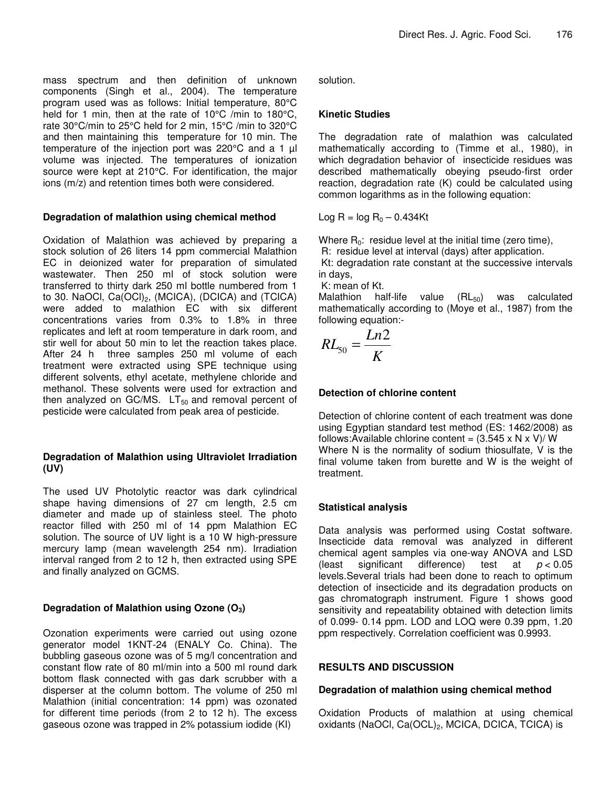mass spectrum and then definition of unknown components (Singh et al., 2004). The temperature program used was as follows: Initial temperature, 80°C held for 1 min, then at the rate of 10°C /min to 180°C, rate 30°C/min to 25°C held for 2 min, 15°C /min to 320°C and then maintaining this temperature for 10 min. The temperature of the injection port was 220°C and a 1 µl volume was injected. The temperatures of ionization source were kept at 210°C. For identification, the major ions (m/z) and retention times both were considered.

#### **Degradation of malathion using chemical method**

Oxidation of Malathion was achieved by preparing a stock solution of 26 liters 14 ppm commercial Malathion EC in deionized water for preparation of simulated wastewater. Then 250 ml of stock solution were transferred to thirty dark 250 ml bottle numbered from 1 to 30. NaOCI,  $Ca(OCl)_2$ , (MCICA), (DCICA) and (TCICA) were added to malathion EC with six different concentrations varies from 0.3% to 1.8% in three replicates and left at room temperature in dark room, and stir well for about 50 min to let the reaction takes place. After 24 h three samples 250 ml volume of each treatment were extracted using SPE technique using different solvents, ethyl acetate, methylene chloride and methanol. These solvents were used for extraction and then analyzed on GC/MS.  $LT_{50}$  and removal percent of pesticide were calculated from peak area of pesticide.

#### **Degradation of Malathion using Ultraviolet Irradiation (UV)**

The used UV Photolytic reactor was dark cylindrical shape having dimensions of 27 cm length, 2.5 cm diameter and made up of stainless steel. The photo reactor filled with 250 ml of 14 ppm Malathion EC solution. The source of UV light is a 10 W high-pressure mercury lamp (mean wavelength 254 nm). Irradiation interval ranged from 2 to 12 h, then extracted using SPE and finally analyzed on GCMS.

## **Degradation of Malathion using Ozone (O3)**

Ozonation experiments were carried out using ozone generator model 1KNT-24 (ENALY Co. China). The bubbling gaseous ozone was of 5 mg/l concentration and constant flow rate of 80 ml/min into a 500 ml round dark bottom flask connected with gas dark scrubber with a disperser at the column bottom. The volume of 250 ml Malathion (initial concentration: 14 ppm) was ozonated for different time periods (from 2 to 12 h). The excess gaseous ozone was trapped in 2% potassium iodide (KI)

solution.

## **Kinetic Studies**

The degradation rate of malathion was calculated mathematically according to (Timme et al., 1980), in which degradation behavior of insecticide residues was described mathematically obeying pseudo-first order reaction, degradation rate (K) could be calculated using common logarithms as in the following equation:

Log R =  $log R_0 - 0.434$ Kt

Where  $R_0$ : residue level at the initial time (zero time),

R: residue level at interval (days) after application.

 Kt: degradation rate constant at the successive intervals in days,

K: mean of Kt.<br>Malathion half-life value  $(RL_{50})$  was calculated mathematically according to (Moye et al., 1987) from the following equation:-

$$
RL_{50} = \frac{Ln2}{K}
$$

# **Detection of chlorine content**

Detection of chlorine content of each treatment was done using Egyptian standard test method (ES: 1462/2008) as follows: Available chlorine content =  $(3.545 \times N \times V)/W$ Where N is the normality of sodium thiosulfate, V is the final volume taken from burette and W is the weight of treatment.

## **Statistical analysis**

Data analysis was performed using Costat software. Insecticide data removal was analyzed in different chemical agent samples via one-way ANOVA and LSD (least significant difference) test at  $p < 0.05$ levels.Several trials had been done to reach to optimum detection of insecticide and its degradation products on gas chromatograph instrument. Figure 1 shows good sensitivity and repeatability obtained with detection limits of 0.099- 0.14 ppm. LOD and LOQ were 0.39 ppm, 1.20 ppm respectively. Correlation coefficient was 0.9993.

## **RESULTS AND DISCUSSION**

## **Degradation of malathion using chemical method**

Oxidation Products of malathion at using chemical oxidants (NaOCI,  $Ca(OCL)<sub>2</sub>$ , MCICA, DCICA, TCICA) is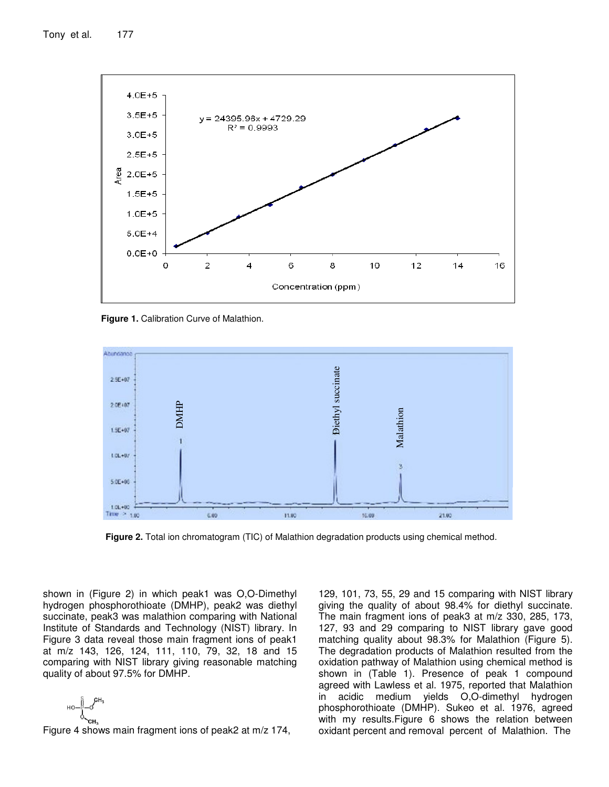

**Figure 1.** Calibration Curve of Malathion.



**Figure 2.** Total ion chromatogram (TIC) of Malathion degradation products using chemical method.

shown in (Figure 2) in which peak1 was O,O-Dimethyl hydrogen phosphorothioate (DMHP), peak2 was diethyl succinate, peak3 was malathion comparing with National Institute of Standards and Technology (NIST) library. In Figure 3 data reveal those main fragment ions of peak1 at m/z 143, 126, 124, 111, 110, 79, 32, 18 and 15 comparing with NIST library giving reasonable matching quality of about 97.5% for DMHP.

$$
\text{H}\text{O}-\text{H}\text{O}-\text{CH}^3
$$

Figure 4 shows main fragment ions of peak2 at m/z 174,

129, 101, 73, 55, 29 and 15 comparing with NIST library giving the quality of about 98.4% for diethyl succinate. The main fragment ions of peak3 at m/z 330, 285, 173, 127, 93 and 29 comparing to NIST library gave good matching quality about 98.3% for Malathion (Figure 5). The degradation products of Malathion resulted from the oxidation pathway of Malathion using chemical method is shown in (Table 1). Presence of peak 1 compound agreed with Lawless et al. 1975, reported that Malathion in acidic medium yields O,O-dimethyl hydrogen phosphorothioate (DMHP). Sukeo et al. 1976, agreed with my results.Figure 6 shows the relation between oxidant percent and removal percent of Malathion. The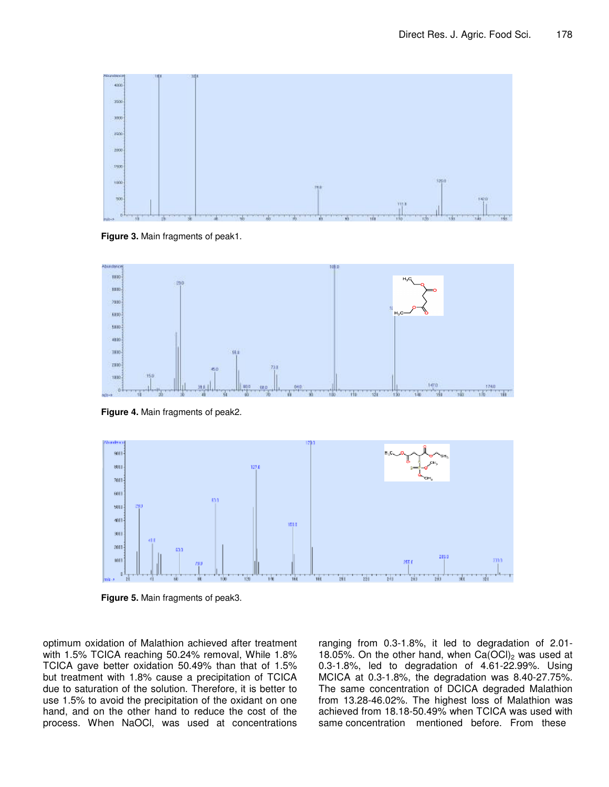

**Figure 3.** Main fragments of peak1.



**Figure 4.** Main fragments of peak2.



**Figure 5.** Main fragments of peak3.

optimum oxidation of Malathion achieved after treatment with 1.5% TCICA reaching 50.24% removal, While 1.8% TCICA gave better oxidation 50.49% than that of 1.5% but treatment with 1.8% cause a precipitation of TCICA due to saturation of the solution. Therefore, it is better to use 1.5% to avoid the precipitation of the oxidant on one hand, and on the other hand to reduce the cost of the process. When NaOCl, was used at concentrations ranging from 0.3-1.8%, it led to degradation of 2.01- 18.05%. On the other hand, when  $Ca(OCl)<sub>2</sub>$  was used at 0.3-1.8%, led to degradation of 4.61-22.99%. Using MCICA at 0.3-1.8%, the degradation was 8.40-27.75%. The same concentration of DCICA degraded Malathion from 13.28-46.02%. The highest loss of Malathion was achieved from 18.18-50.49% when TCICA was used with same concentration mentioned before. From these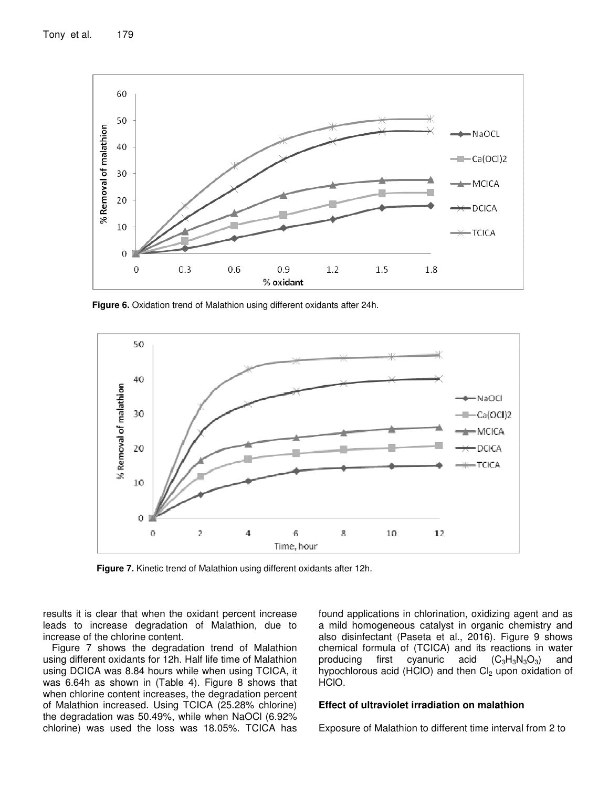

**Figure 6.** Oxidation trend of Malathion using different oxidants after 24h.



**Figure 7.** Kinetic trend of Malathion using different oxidants after 12h.

results it is clear that when the oxidant percent increase leads to increase degradation of Malathion, due to increase of the chlorine content.

Figure 7 shows the degradation trend of Malathion using different oxidants for 12h. Half life time of Malathion using DCICA was 8.84 hours while when using TCICA, it was 6.64h as shown in (Table 4). Figure 8 shows that when chlorine content increases, the degradation percent of Malathion increased. Using TCICA (25.28% chlorine) the degradation was 50.49%, while when NaOCl (6.92% chlorine) was used the loss was 18.05%. TCICA has

found applications in chlorination, oxidizing agent and as a mild homogeneous catalyst in organic chemistry and also disinfectant (Paseta et al., 2016). Figure 9 shows chemical formula of (TCICA) and its reactions in water producing first cyanuric acid  $(C_3H_3N_3O_3)$  and hypochlorous acid (HClO) and then  $Cl<sub>2</sub>$  upon oxidation of HCIO.

#### **Effect of ultraviolet irradiation on malathion**

Exposure of Malathion to different time interval from 2 to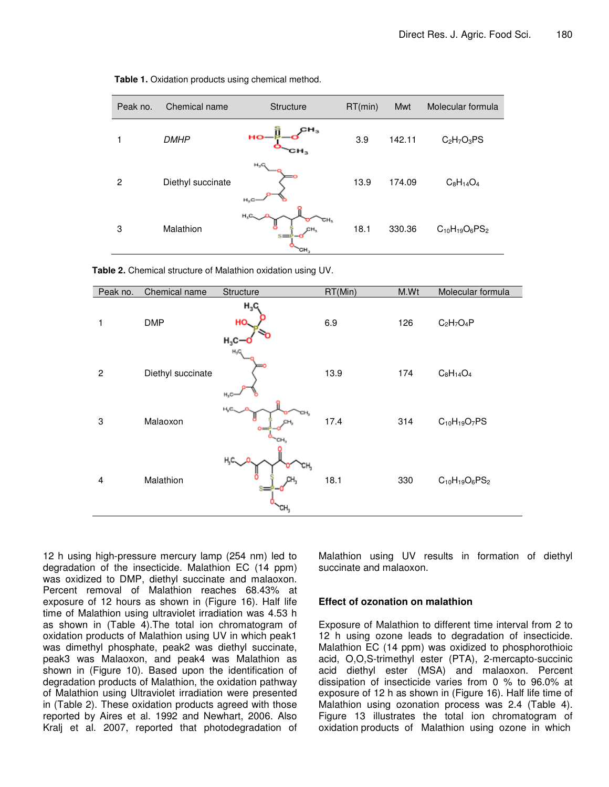| Peak no. | Chemical name     | <b>Structure</b>                    | RT(min) | <b>Mwt</b> | Molecular formula     |  |
|----------|-------------------|-------------------------------------|---------|------------|-----------------------|--|
| 1        | <b>DMHP</b>       | $\mathbf{H}_3$<br><b>HO-</b><br>сн, | 3.9     | 142.11     | $C_2H_7O_3PS$         |  |
| 2        | Diethyl succinate | $H_2G$<br>$H_8$ O                   | 13.9    | 174.09     | $C_8H_{14}O_4$        |  |
| 3        | Malathion         | $H_2C_2$<br>CH,<br>$s =$<br>ъΗ,     | 18.1    | 330.36     | $C_{10}H_{19}O_6PS_2$ |  |

**Table 1.** Oxidation products using chemical method.

**Table 2.** Chemical structure of Malathion oxidation using UV.

| Peak no.       | Chemical name     | Structure                   | RT(Min) | M.Wt | Molecular formula     |
|----------------|-------------------|-----------------------------|---------|------|-----------------------|
| 1              | <b>DMP</b>        | $H_3C_1$<br>HO,<br>$H_3C -$ | 6.9     | 126  | $C_2H_7O_4P$          |
| $\overline{2}$ | Diethyl succinate | $H_2C$<br>$H_3C-$           | 13.9    | 174  | $C_8H_{14}O_4$        |
| 3              | Malaoxon          | нç<br>Ō=<br>cн,             | 17.4    | 314  | $C_{10}H_{19}O_7PS$   |
| 4              | Malathion         | н,с.<br>CH <sub>3</sub>     | 18.1    | 330  | $C_{10}H_{19}O_6PS_2$ |

12 h using high-pressure mercury lamp (254 nm) led to degradation of the insecticide. Malathion EC (14 ppm) was oxidized to DMP, diethyl succinate and malaoxon. Percent removal of Malathion reaches 68.43% at exposure of 12 hours as shown in (Figure 16). Half life time of Malathion using ultraviolet irradiation was 4.53 h as shown in (Table 4).The total ion chromatogram of oxidation products of Malathion using UV in which peak1 was dimethyl phosphate, peak2 was diethyl succinate, peak3 was Malaoxon, and peak4 was Malathion as shown in (Figure 10). Based upon the identification of degradation products of Malathion, the oxidation pathway of Malathion using Ultraviolet irradiation were presented in (Table 2). These oxidation products agreed with those reported by Aires et al. 1992 and Newhart, 2006. Also Kralj et al. 2007, reported that photodegradation of Malathion using UV results in formation of diethyl succinate and malaoxon.

#### **Effect of ozonation on malathion**

Exposure of Malathion to different time interval from 2 to 12 h using ozone leads to degradation of insecticide. Malathion EC (14 ppm) was oxidized to phosphorothioic acid, O,O,S-trimethyl ester (PTA), 2-mercapto-succinic acid diethyl ester (MSA) and malaoxon. Percent dissipation of insecticide varies from 0 % to 96.0% at exposure of 12 h as shown in (Figure 16). Half life time of Malathion using ozonation process was 2.4 (Table 4). Figure 13 illustrates the total ion chromatogram of oxidation products of Malathion using ozone in which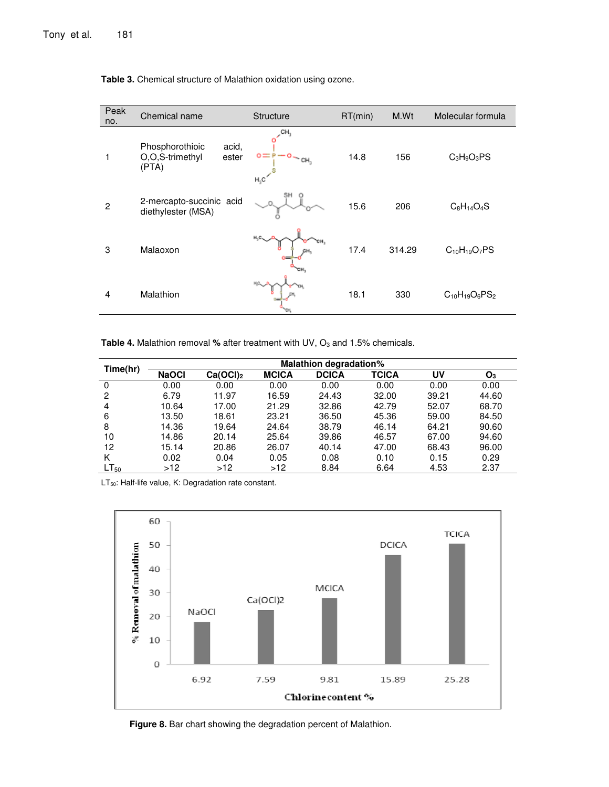| Peak<br>no.    | Chemical name                                                 | Structure                  | RT(min) | M.Wt   | Molecular formula     |
|----------------|---------------------------------------------------------------|----------------------------|---------|--------|-----------------------|
|                | Phosphorothioic<br>acid,<br>O,O,S-trimethyl<br>ester<br>(PTA) | CH,<br>ο=<br>CH,<br>$H_3C$ | 14.8    | 156    | $C_3H_9O_3PS$         |
| $\mathfrak{p}$ | 2-mercapto-succinic acid<br>diethylester (MSA)                |                            | 15.6    | 206    | $C_8H_{14}O_4S$       |
| 3              | Malaoxon                                                      | H.C.<br>CН,<br>CH.         | 17.4    | 314.29 | $C_{10}H_{19}O_7PS$   |
| 4              | Malathion                                                     |                            | 18.1    | 330    | $C_{10}H_{19}O_6PS_2$ |

**Table 3.** Chemical structure of Malathion oxidation using ozone.

**Table 4.** Malathion removal % after treatment with UV, O<sub>3</sub> and 1.5% chemicals.

| Time(hr)  | <b>Malathion degradation%</b> |                      |              |              |              |       |       |
|-----------|-------------------------------|----------------------|--------------|--------------|--------------|-------|-------|
|           | <b>NaOCI</b>                  | Ca(OCl) <sub>2</sub> | <b>MCICA</b> | <b>DCICA</b> | <b>TCICA</b> | UV    | O3    |
| 0         | 0.00                          | 0.00                 | 0.00         | 0.00         | 0.00         | 0.00  | 0.00  |
| 2         | 6.79                          | 11.97                | 16.59        | 24.43        | 32.00        | 39.21 | 44.60 |
| 4         | 10.64                         | 17.00                | 21.29        | 32.86        | 42.79        | 52.07 | 68.70 |
| 6         | 13.50                         | 18.61                | 23.21        | 36.50        | 45.36        | 59.00 | 84.50 |
| 8         | 14.36                         | 19.64                | 24.64        | 38.79        | 46.14        | 64.21 | 90.60 |
| 10        | 14.86                         | 20.14                | 25.64        | 39.86        | 46.57        | 67.00 | 94.60 |
| 12        | 15.14                         | 20.86                | 26.07        | 40.14        | 47.00        | 68.43 | 96.00 |
| K         | 0.02                          | 0.04                 | 0.05         | 0.08         | 0.10         | 0.15  | 0.29  |
| $LT_{50}$ | >12                           | >12                  | >12          | 8.84         | 6.64         | 4.53  | 2.37  |

 $LT_{50}$ : Half-life value, K: Degradation rate constant.



Figure 8. Bar chart showing the degradation percent of Malathion.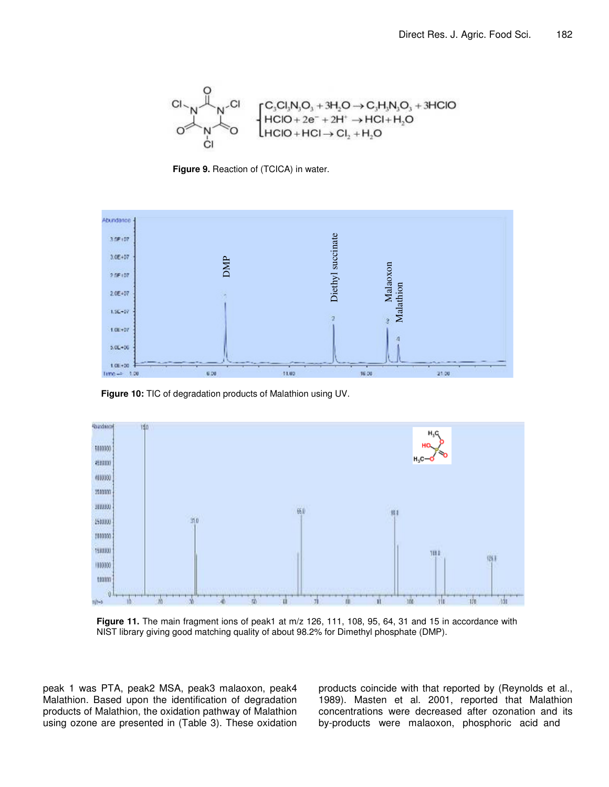

**Figure 9.** Reaction of (TCICA) in water.



**Figure 10:** TIC of degradation products of Malathion using UV.



**Figure 11.** The main fragment ions of peak1 at m/z 126, 111, 108, 95, 64, 31 and 15 in accordance with NIST library giving good matching quality of about 98.2% for Dimethyl phosphate (DMP).

peak 1 was PTA, peak2 MSA, peak3 malaoxon, peak4 Malathion. Based upon the identification of degradation products of Malathion, the oxidation pathway of Malathion using ozone are presented in (Table 3). These oxidation products coincide with that reported by (Reynolds et al., 1989). Masten et al. 2001, reported that Malathion concentrations were decreased after ozonation and its by-products were malaoxon, phosphoric acid and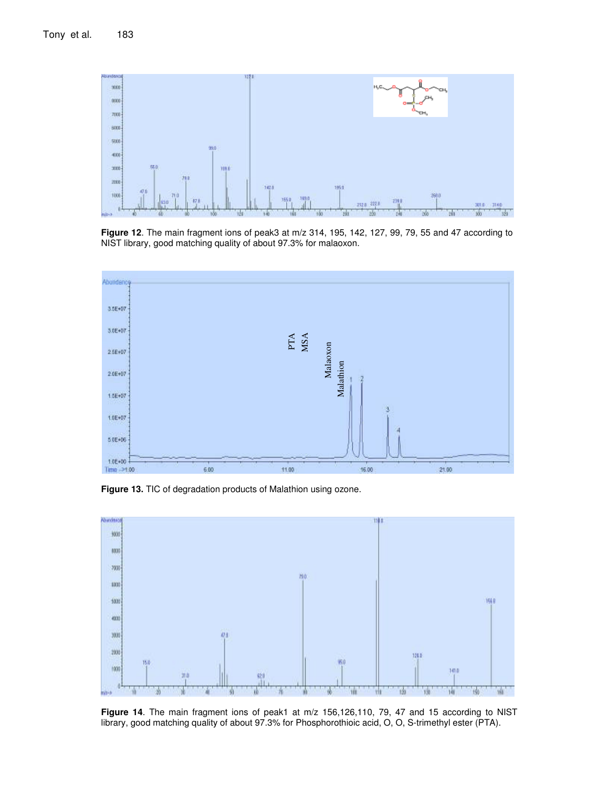

**Figure 12**. The main fragment ions of peak3 at m/z 314, 195, 142, 127, 99, 79, 55 and 47 according to NIST library, good matching quality of about 97.3% for malaoxon.



**Figure 13.** TIC of degradation products of Malathion using ozone.



**Figure 14**. The main fragment ions of peak1 at m/z 156,126,110, 79, 47 and 15 according to NIST library, good matching quality of about 97.3% for Phosphorothioic acid, O, O, S-trimethyl ester (PTA).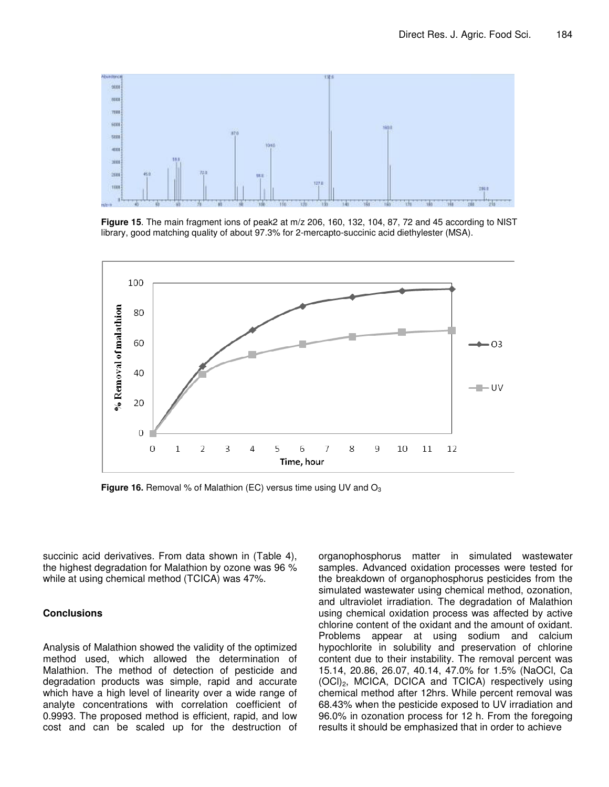

**Figure 15**. The main fragment ions of peak2 at m/z 206, 160, 132, 104, 87, 72 and 45 according to NIST library, good matching quality of about 97.3% for 2-mercapto-succinic acid diethylester (MSA).



**Figure 16.** Removal % of Malathion (EC) versus time using UV and O<sub>3</sub>

succinic acid derivatives. From data shown in (Table 4), the highest degradation for Malathion by ozone was 96 % while at using chemical method (TCICA) was 47%.

#### **Conclusions**

Analysis of Malathion showed the validity of the optimized method used, which allowed the determination of Malathion. The method of detection of pesticide and degradation products was simple, rapid and accurate which have a high level of linearity over a wide range of analyte concentrations with correlation coefficient of 0.9993. The proposed method is efficient, rapid, and low cost and can be scaled up for the destruction of organophosphorus matter in simulated wastewater samples. Advanced oxidation processes were tested for the breakdown of organophosphorus pesticides from the simulated wastewater using chemical method, ozonation, and ultraviolet irradiation. The degradation of Malathion using chemical oxidation process was affected by active chlorine content of the oxidant and the amount of oxidant. Problems appear at using sodium and calcium hypochlorite in solubility and preservation of chlorine content due to their instability. The removal percent was 15.14, 20.86, 26.07, 40.14, 47.0% for 1.5% (NaOCl, Ca (OCl)2, MCICA, DCICA and TCICA) respectively using chemical method after 12hrs. While percent removal was 68.43% when the pesticide exposed to UV irradiation and 96.0% in ozonation process for 12 h. From the foregoing results it should be emphasized that in order to achieve